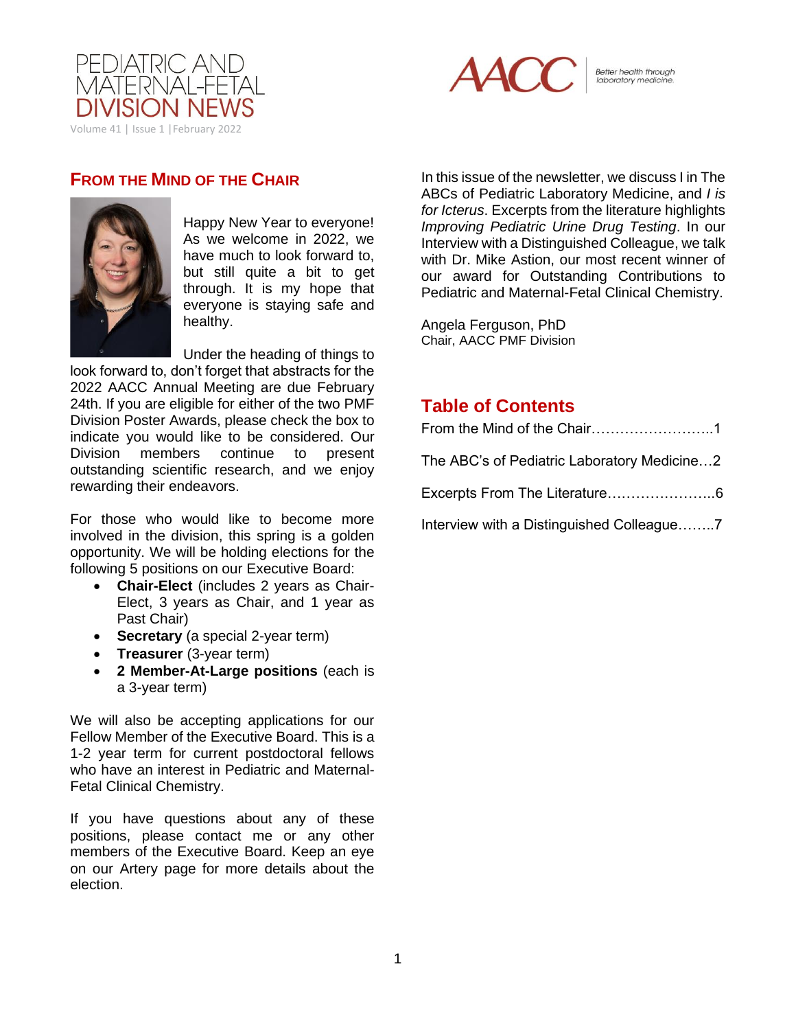



Better health through<br>laboratory medicine.

## **FROM THE MIND OF THE CHAIR**



Happy New Year to everyone! As we welcome in 2022, we have much to look forward to, but still quite a bit to get through. It is my hope that everyone is staying safe and healthy.

Under the heading of things to look forward to, don't forget that abstracts for the 2022 AACC Annual Meeting are due February 24th. If you are eligible for either of the two PMF Division Poster Awards, please check the box to indicate you would like to be considered. Our Division members continue to present outstanding scientific research, and we enjoy rewarding their endeavors.

For those who would like to become more involved in the division, this spring is a golden opportunity. We will be holding elections for the following 5 positions on our Executive Board:

- **Chair-Elect** (includes 2 years as Chair-Elect, 3 years as Chair, and 1 year as Past Chair)
- **Secretary** (a special 2-year term)
- **Treasurer** (3-year term)
- **2 Member-At-Large positions** (each is a 3-year term)

We will also be accepting applications for our Fellow Member of the Executive Board. This is a 1-2 year term for current postdoctoral fellows who have an interest in Pediatric and Maternal-Fetal Clinical Chemistry.

If you have questions about any of these positions, please contact me or any other members of the Executive Board. Keep an eye on our Artery page for more details about the election.

In this issue of the newsletter, we discuss I in The ABCs of Pediatric Laboratory Medicine, and *I is for Icterus*. Excerpts from the literature highlights *Improving Pediatric Urine Drug Testing*. In our Interview with a Distinguished Colleague, we talk with Dr. Mike Astion, our most recent winner of our award for Outstanding Contributions to Pediatric and Maternal-Fetal Clinical Chemistry.

Angela Ferguson, PhD Chair, AACC PMF Division

## **Table of Contents**

| From the Mind of the Chair1                 |  |
|---------------------------------------------|--|
| The ABC's of Pediatric Laboratory Medicine2 |  |
| Excerpts From The Literature6               |  |
| Interview with a Distinguished Colleague7   |  |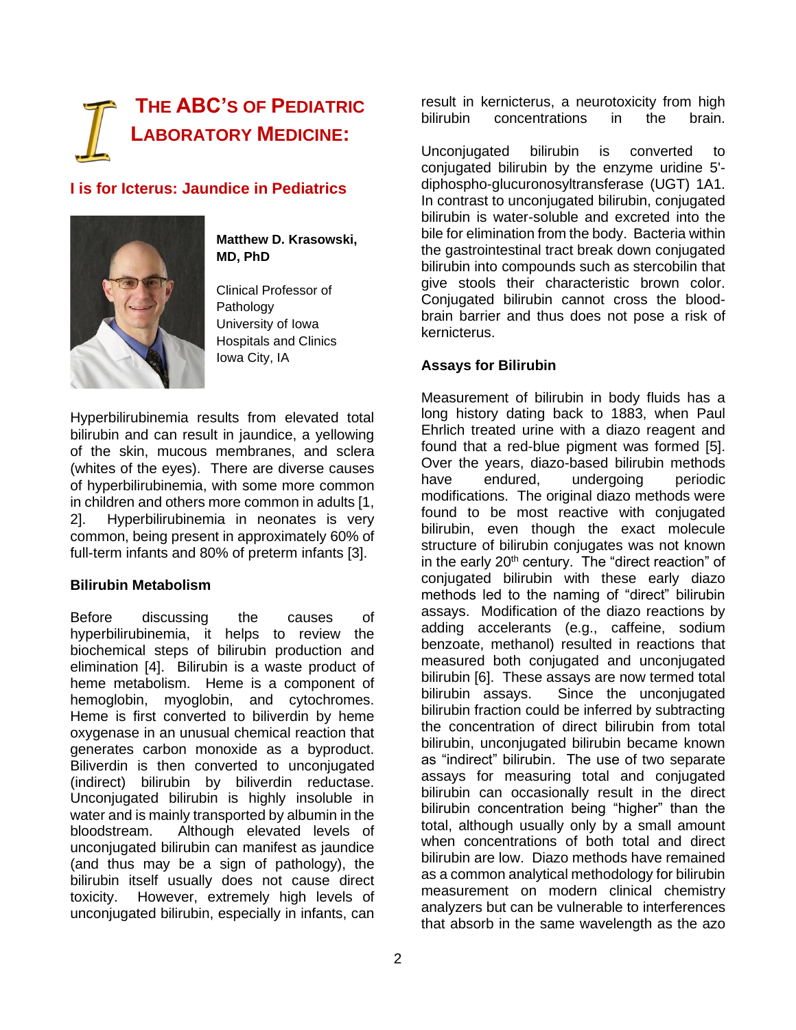# **THE ABC'S OF PEDIATRIC LABORATORY MEDICINE:**

## **I is for Icterus: Jaundice in Pediatrics**



**Matthew D. Krasowski, MD, PhD**

Clinical Professor of Pathology University of Iowa Hospitals and Clinics Iowa City, IA

Hyperbilirubinemia results from elevated total bilirubin and can result in jaundice, a yellowing of the skin, mucous membranes, and sclera (whites of the eyes). There are diverse causes of hyperbilirubinemia, with some more common in children and others more common in adults [1, 2]. Hyperbilirubinemia in neonates is very common, being present in approximately 60% of full-term infants and 80% of preterm infants [3].

## **Bilirubin Metabolism**

Before discussing the causes of hyperbilirubinemia, it helps to review the biochemical steps of bilirubin production and elimination [4]. Bilirubin is a waste product of heme metabolism. Heme is a component of hemoglobin, myoglobin, and cytochromes. Heme is first converted to biliverdin by heme oxygenase in an unusual chemical reaction that generates carbon monoxide as a byproduct. Biliverdin is then converted to unconjugated (indirect) bilirubin by biliverdin reductase. Unconjugated bilirubin is highly insoluble in water and is mainly transported by albumin in the bloodstream. Although elevated levels of unconjugated bilirubin can manifest as jaundice (and thus may be a sign of pathology), the bilirubin itself usually does not cause direct toxicity. However, extremely high levels of unconjugated bilirubin, especially in infants, can

result in kernicterus, a neurotoxicity from high bilirubin concentrations in the brain.

Unconjugated bilirubin is converted to conjugated bilirubin by the enzyme uridine 5' diphospho-glucuronosyltransferase (UGT) 1A1. In contrast to unconjugated bilirubin, conjugated bilirubin is water-soluble and excreted into the bile for elimination from the body. Bacteria within the gastrointestinal tract break down conjugated bilirubin into compounds such as stercobilin that give stools their characteristic brown color. Conjugated bilirubin cannot cross the bloodbrain barrier and thus does not pose a risk of kernicterus.

## **Assays for Bilirubin**

Measurement of bilirubin in body fluids has a long history dating back to 1883, when Paul Ehrlich treated urine with a diazo reagent and found that a red-blue pigment was formed [5]. Over the years, diazo-based bilirubin methods have endured, undergoing periodic modifications. The original diazo methods were found to be most reactive with conjugated bilirubin, even though the exact molecule structure of bilirubin conjugates was not known in the early  $20<sup>th</sup>$  century. The "direct reaction" of conjugated bilirubin with these early diazo methods led to the naming of "direct" bilirubin assays. Modification of the diazo reactions by adding accelerants (e.g., caffeine, sodium benzoate, methanol) resulted in reactions that measured both conjugated and unconjugated bilirubin [6]. These assays are now termed total bilirubin assays. Since the unconjugated bilirubin fraction could be inferred by subtracting the concentration of direct bilirubin from total bilirubin, unconjugated bilirubin became known as "indirect" bilirubin. The use of two separate assays for measuring total and conjugated bilirubin can occasionally result in the direct bilirubin concentration being "higher" than the total, although usually only by a small amount when concentrations of both total and direct bilirubin are low. Diazo methods have remained as a common analytical methodology for bilirubin measurement on modern clinical chemistry analyzers but can be vulnerable to interferences that absorb in the same wavelength as the azo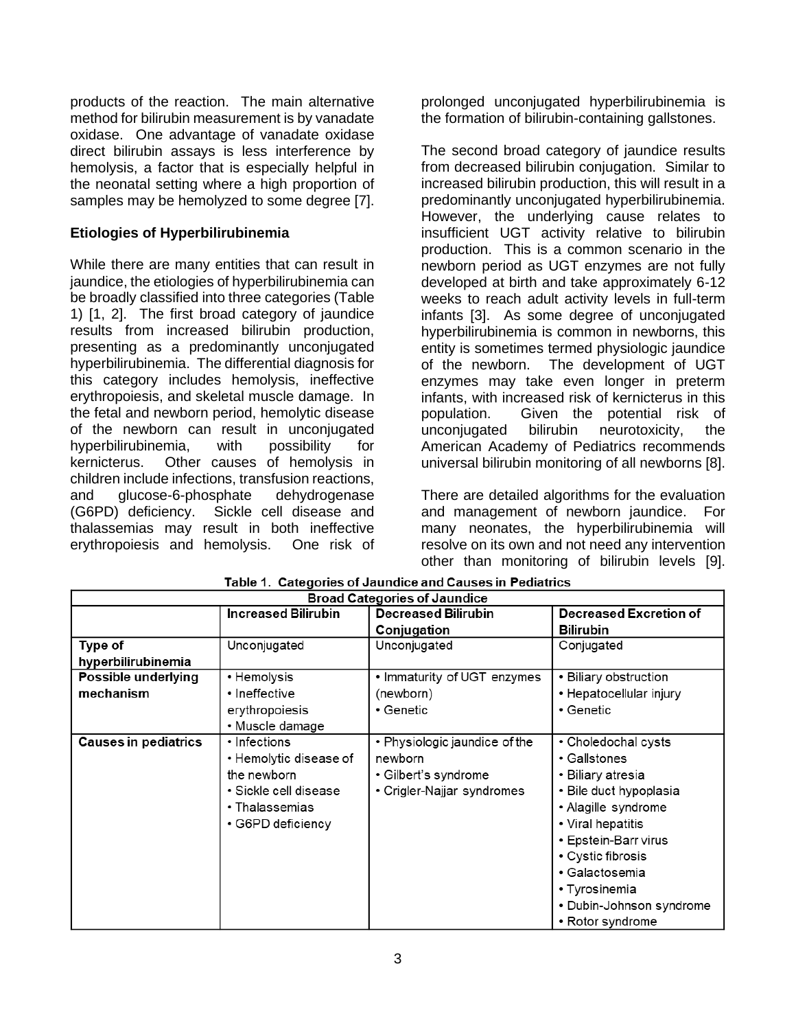products of the reaction. The main alternative method for bilirubin measurement is by vanadate oxidase. One advantage of vanadate oxidase direct bilirubin assays is less interference by hemolysis, a factor that is especially helpful in the neonatal setting where a high proportion of samples may be hemolyzed to some degree [7].

## **Etiologies of Hyperbilirubinemia**

While there are many entities that can result in jaundice, the etiologies of hyperbilirubinemia can be broadly classified into three categories (Table 1) [1, 2]. The first broad category of jaundice results from increased bilirubin production, presenting as a predominantly unconjugated hyperbilirubinemia. The differential diagnosis for this category includes hemolysis, ineffective erythropoiesis, and skeletal muscle damage. In the fetal and newborn period, hemolytic disease of the newborn can result in unconjugated hyperbilirubinemia, with possibility for kernicterus. Other causes of hemolysis in children include infections, transfusion reactions, and glucose-6-phosphate dehydrogenase (G6PD) deficiency. Sickle cell disease and thalassemias may result in both ineffective erythropoiesis and hemolysis. One risk of prolonged unconjugated hyperbilirubinemia is the formation of bilirubin-containing gallstones.

The second broad category of jaundice results from decreased bilirubin conjugation. Similar to increased bilirubin production, this will result in a predominantly unconjugated hyperbilirubinemia. However, the underlying cause relates to insufficient UGT activity relative to bilirubin production. This is a common scenario in the newborn period as UGT enzymes are not fully developed at birth and take approximately 6-12 weeks to reach adult activity levels in full-term infants [3]. As some degree of unconjugated hyperbilirubinemia is common in newborns, this entity is sometimes termed physiologic jaundice of the newborn. The development of UGT enzymes may take even longer in preterm infants, with increased risk of kernicterus in this population. Given the potential risk of unconjugated bilirubin neurotoxicity, the American Academy of Pediatrics recommends universal bilirubin monitoring of all newborns [8].

There are detailed algorithms for the evaluation and management of newborn jaundice. For many neonates, the hyperbilirubinemia will resolve on its own and not need any intervention other than monitoring of bilirubin levels [9].

| <b>Broad Categories of Jaundice</b> |                            |                               |                               |  |
|-------------------------------------|----------------------------|-------------------------------|-------------------------------|--|
|                                     | <b>Increased Bilirubin</b> | <b>Decreased Bilirubin</b>    | <b>Decreased Excretion of</b> |  |
|                                     |                            | Conjugation                   | <b>Bilirubin</b>              |  |
| Type of                             | Unconjugated               | Unconjugated                  | Conjugated                    |  |
| hyperbilirubinemia                  |                            |                               |                               |  |
| Possible underlying                 | • Hemolysis                | • Immaturity of UGT enzymes   | • Biliary obstruction         |  |
| mechanism                           | • Ineffective              | (newborn)                     | • Hepatocellular injury       |  |
|                                     | erythropoiesis             | $\cdot$ Genetic               | • Genetic                     |  |
|                                     | • Muscle damage            |                               |                               |  |
| <b>Causes in pediatrics</b>         | • Infections               | • Physiologic jaundice of the | • Choledochal cysts           |  |
|                                     | • Hemolytic disease of     | newborn                       | • Gallstones                  |  |
|                                     | the newborn                | • Gilbert's syndrome          | • Biliary atresia             |  |
|                                     | • Sickle cell disease      | • Crigler-Najjar syndromes    | • Bile duct hypoplasia        |  |
|                                     | $\cdot$ Thalassemias       |                               | • Alagille syndrome           |  |
|                                     | • G6PD deficiency          |                               | • Viral hepatitis             |  |
|                                     |                            |                               | • Epstein-Barr virus          |  |
|                                     |                            |                               | • Cystic fibrosis             |  |
|                                     |                            |                               | • Galactosemia                |  |
|                                     |                            |                               | • Tyrosinemia                 |  |
|                                     |                            |                               | • Dubin-Johnson syndrome      |  |
|                                     |                            |                               | • Rotor syndrome              |  |

Table 1. Categories of Jaundice and Causes in Pediatrics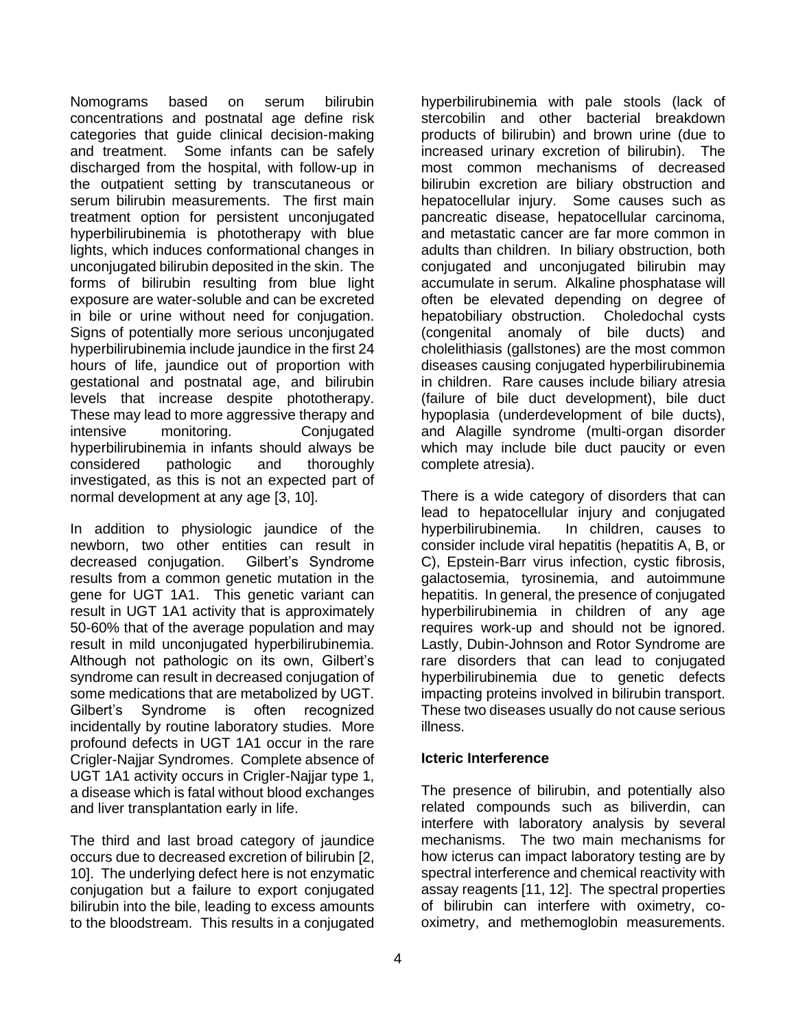Nomograms based on serum bilirubin concentrations and postnatal age define risk categories that guide clinical decision-making and treatment. Some infants can be safely discharged from the hospital, with follow-up in the outpatient setting by transcutaneous or serum bilirubin measurements. The first main treatment option for persistent unconjugated hyperbilirubinemia is phototherapy with blue lights, which induces conformational changes in unconjugated bilirubin deposited in the skin. The forms of bilirubin resulting from blue light exposure are water-soluble and can be excreted in bile or urine without need for conjugation. Signs of potentially more serious unconjugated hyperbilirubinemia include jaundice in the first 24 hours of life, jaundice out of proportion with gestational and postnatal age, and bilirubin levels that increase despite phototherapy. These may lead to more aggressive therapy and intensive monitoring. Conjugated hyperbilirubinemia in infants should always be considered pathologic and thoroughly investigated, as this is not an expected part of normal development at any age [3, 10].

In addition to physiologic jaundice of the newborn, two other entities can result in decreased conjugation. Gilbert's Syndrome results from a common genetic mutation in the gene for UGT 1A1. This genetic variant can result in UGT 1A1 activity that is approximately 50-60% that of the average population and may result in mild unconjugated hyperbilirubinemia. Although not pathologic on its own, Gilbert's syndrome can result in decreased conjugation of some medications that are metabolized by UGT. Gilbert's Syndrome is often recognized incidentally by routine laboratory studies. More profound defects in UGT 1A1 occur in the rare Crigler-Najjar Syndromes. Complete absence of UGT 1A1 activity occurs in Crigler-Najjar type 1, a disease which is fatal without blood exchanges and liver transplantation early in life.

The third and last broad category of jaundice occurs due to decreased excretion of bilirubin [2, 10]. The underlying defect here is not enzymatic conjugation but a failure to export conjugated bilirubin into the bile, leading to excess amounts to the bloodstream. This results in a conjugated

hyperbilirubinemia with pale stools (lack of stercobilin and other bacterial breakdown products of bilirubin) and brown urine (due to increased urinary excretion of bilirubin). The most common mechanisms of decreased bilirubin excretion are biliary obstruction and hepatocellular injury. Some causes such as pancreatic disease, hepatocellular carcinoma, and metastatic cancer are far more common in adults than children. In biliary obstruction, both conjugated and unconjugated bilirubin may accumulate in serum. Alkaline phosphatase will often be elevated depending on degree of hepatobiliary obstruction. Choledochal cysts (congenital anomaly of bile ducts) and cholelithiasis (gallstones) are the most common diseases causing conjugated hyperbilirubinemia in children. Rare causes include biliary atresia (failure of bile duct development), bile duct hypoplasia (underdevelopment of bile ducts), and Alagille syndrome (multi-organ disorder which may include bile duct paucity or even complete atresia).

There is a wide category of disorders that can lead to hepatocellular injury and conjugated hyperbilirubinemia. In children, causes to consider include viral hepatitis (hepatitis A, B, or C), Epstein-Barr virus infection, cystic fibrosis, galactosemia, tyrosinemia, and autoimmune hepatitis. In general, the presence of conjugated hyperbilirubinemia in children of any age requires work-up and should not be ignored. Lastly, Dubin-Johnson and Rotor Syndrome are rare disorders that can lead to conjugated hyperbilirubinemia due to genetic defects impacting proteins involved in bilirubin transport. These two diseases usually do not cause serious illness.

## **Icteric Interference**

The presence of bilirubin, and potentially also related compounds such as biliverdin, can interfere with laboratory analysis by several mechanisms. The two main mechanisms for how icterus can impact laboratory testing are by spectral interference and chemical reactivity with assay reagents [11, 12]. The spectral properties of bilirubin can interfere with oximetry, cooximetry, and methemoglobin measurements.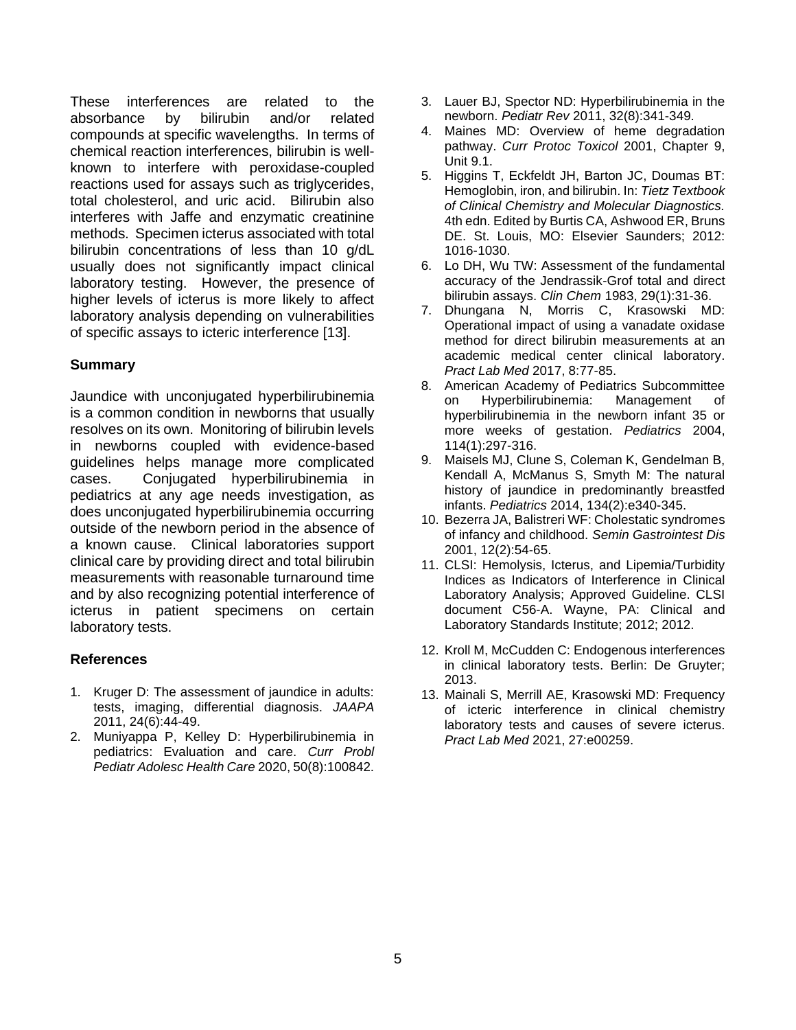These interferences are related to the absorbance by bilirubin and/or related compounds at specific wavelengths. In terms of chemical reaction interferences, bilirubin is wellknown to interfere with peroxidase-coupled reactions used for assays such as triglycerides, total cholesterol, and uric acid. Bilirubin also interferes with Jaffe and enzymatic creatinine methods. Specimen icterus associated with total bilirubin concentrations of less than 10 g/dL usually does not significantly impact clinical laboratory testing. However, the presence of higher levels of icterus is more likely to affect laboratory analysis depending on vulnerabilities of specific assays to icteric interference [13].

## **Summary**

Jaundice with unconjugated hyperbilirubinemia is a common condition in newborns that usually resolves on its own. Monitoring of bilirubin levels in newborns coupled with evidence-based guidelines helps manage more complicated cases. Conjugated hyperbilirubinemia in pediatrics at any age needs investigation, as does unconjugated hyperbilirubinemia occurring outside of the newborn period in the absence of a known cause. Clinical laboratories support clinical care by providing direct and total bilirubin measurements with reasonable turnaround time and by also recognizing potential interference of icterus in patient specimens on certain laboratory tests.

## **References**

- 1. Kruger D: The assessment of jaundice in adults: tests, imaging, differential diagnosis. *JAAPA*  2011, 24(6):44-49.
- 2. Muniyappa P, Kelley D: Hyperbilirubinemia in pediatrics: Evaluation and care. *Curr Probl Pediatr Adolesc Health Care* 2020, 50(8):100842.
- 3. Lauer BJ, Spector ND: Hyperbilirubinemia in the newborn. *Pediatr Rev* 2011, 32(8):341-349.
- 4. Maines MD: Overview of heme degradation pathway. *Curr Protoc Toxicol* 2001, Chapter 9, Unit 9.1.
- 5. Higgins T, Eckfeldt JH, Barton JC, Doumas BT: Hemoglobin, iron, and bilirubin. In: *Tietz Textbook of Clinical Chemistry and Molecular Diagnostics.* 4th edn. Edited by Burtis CA, Ashwood ER, Bruns DE. St. Louis, MO: Elsevier Saunders; 2012: 1016-1030.
- 6. Lo DH, Wu TW: Assessment of the fundamental accuracy of the Jendrassik-Grof total and direct bilirubin assays. *Clin Chem* 1983, 29(1):31-36.
- 7. Dhungana N, Morris C, Krasowski MD: Operational impact of using a vanadate oxidase method for direct bilirubin measurements at an academic medical center clinical laboratory. *Pract Lab Med* 2017, 8:77-85.
- 8. American Academy of Pediatrics Subcommittee on Hyperbilirubinemia: Management of hyperbilirubinemia in the newborn infant 35 or more weeks of gestation. *Pediatrics* 2004, 114(1):297-316.
- 9. Maisels MJ, Clune S, Coleman K, Gendelman B, Kendall A, McManus S, Smyth M: The natural history of jaundice in predominantly breastfed infants. *Pediatrics* 2014, 134(2):e340-345.
- 10. Bezerra JA, Balistreri WF: Cholestatic syndromes of infancy and childhood. *Semin Gastrointest Dis*  2001, 12(2):54-65.
- 11. CLSI: Hemolysis, Icterus, and Lipemia/Turbidity Indices as Indicators of Interference in Clinical Laboratory Analysis; Approved Guideline. CLSI document C56-A. Wayne, PA: Clinical and Laboratory Standards Institute; 2012; 2012.
- 12. Kroll M, McCudden C: Endogenous interferences in clinical laboratory tests. Berlin: De Gruyter; 2013.
- 13. Mainali S, Merrill AE, Krasowski MD: Frequency of icteric interference in clinical chemistry laboratory tests and causes of severe icterus. *Pract Lab Med* 2021, 27:e00259.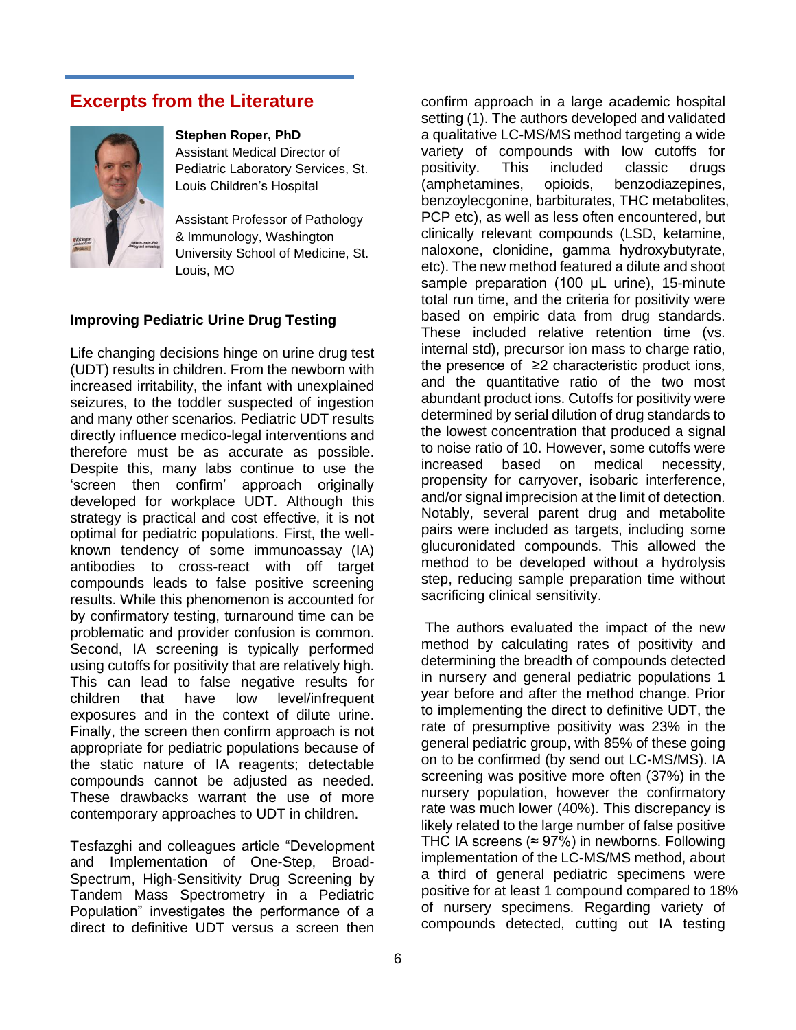## **Excerpts from the Literature**



#### **Stephen Roper, PhD**

Assistant Medical Director of Pediatric Laboratory Services, St. Louis Children's Hospital

Assistant Professor of Pathology & Immunology, Washington University School of Medicine, St. Louis, MO

#### **Improving Pediatric Urine Drug Testing**

Life changing decisions hinge on urine drug test (UDT) results in children. From the newborn with increased irritability, the infant with unexplained seizures, to the toddler suspected of ingestion and many other scenarios. Pediatric UDT results directly influence medico-legal interventions and therefore must be as accurate as possible. Despite this, many labs continue to use the 'screen then confirm' approach originally developed for workplace UDT. Although this strategy is practical and cost effective, it is not optimal for pediatric populations. First, the wellknown tendency of some immunoassay (IA) antibodies to cross-react with off target compounds leads to false positive screening results. While this phenomenon is accounted for by confirmatory testing, turnaround time can be problematic and provider confusion is common. Second, IA screening is typically performed using cutoffs for positivity that are relatively high. This can lead to false negative results for children that have low level/infrequent exposures and in the context of dilute urine. Finally, the screen then confirm approach is not appropriate for pediatric populations because of the static nature of IA reagents; detectable compounds cannot be adjusted as needed. These drawbacks warrant the use of more contemporary approaches to UDT in children.

Tesfazghi and colleagues article "Development and Implementation of One-Step, Broad-Spectrum, High-Sensitivity Drug Screening by Tandem Mass Spectrometry in a Pediatric Population" investigates the performance of a direct to definitive UDT versus a screen then

confirm approach in a large academic hospital setting (1). The authors developed and validated a qualitative LC-MS/MS method targeting a wide variety of compounds with low cutoffs for positivity. This included classic drugs (amphetamines, opioids, benzodiazepines, benzoylecgonine, barbiturates, THC metabolites, PCP etc), as well as less often encountered, but clinically relevant compounds (LSD, ketamine, naloxone, clonidine, gamma hydroxybutyrate, etc). The new method featured a dilute and shoot sample preparation (100 μL urine), 15-minute total run time, and the criteria for positivity were based on empiric data from drug standards. These included relative retention time (vs. internal std), precursor ion mass to charge ratio, the presence of ≥2 characteristic product ions, and the quantitative ratio of the two most abundant product ions. Cutoffs for positivity were determined by serial dilution of drug standards to the lowest concentration that produced a signal to noise ratio of 10. However, some cutoffs were increased based on medical necessity, propensity for carryover, isobaric interference, and/or signal imprecision at the limit of detection. Notably, several parent drug and metabolite pairs were included as targets, including some glucuronidated compounds. This allowed the method to be developed without a hydrolysis step, reducing sample preparation time without sacrificing clinical sensitivity.

The authors evaluated the impact of the new method by calculating rates of positivity and determining the breadth of compounds detected in nursery and general pediatric populations 1 year before and after the method change. Prior to implementing the direct to definitive UDT, the rate of presumptive positivity was 23% in the general pediatric group, with 85% of these going on to be confirmed (by send out LC-MS/MS). IA screening was positive more often (37%) in the nursery population, however the confirmatory rate was much lower (40%). This discrepancy is likely related to the large number of false positive THC IA screens ( $\approx$  97%) in newborns. Following implementation of the LC-MS/MS method, about a third of general pediatric specimens were positive for at least 1 compound compared to 18% of nursery specimens. Regarding variety of compounds detected, cutting out IA testing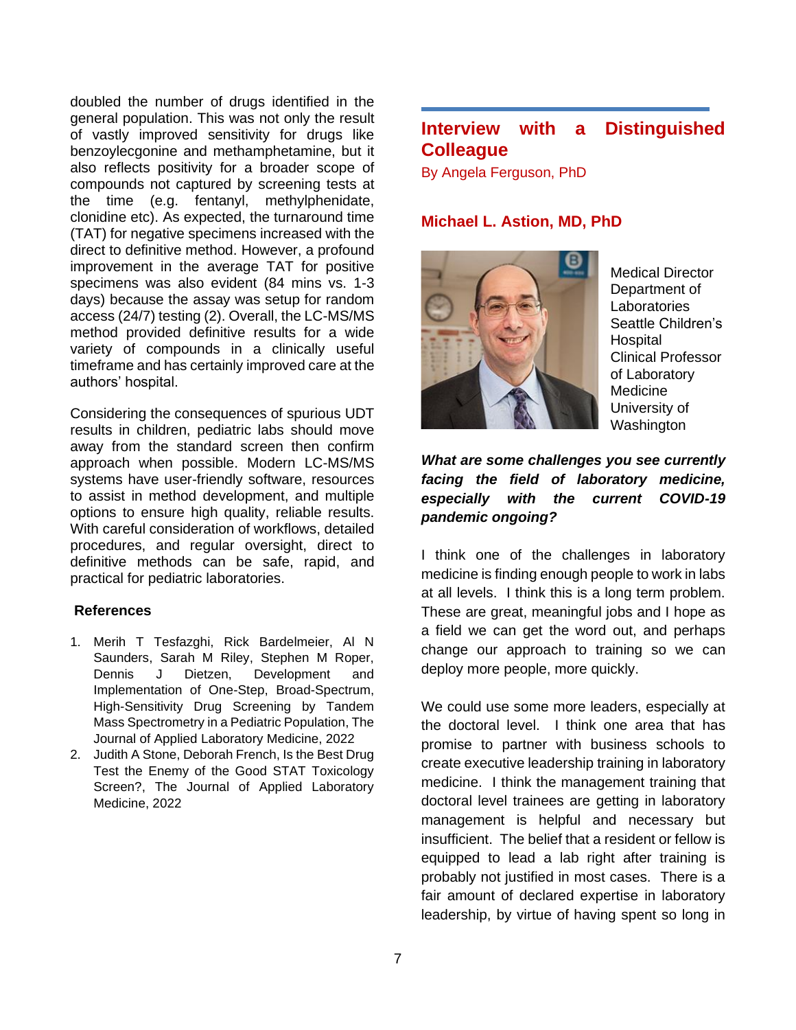doubled the number of drugs identified in the general population. This was not only the result of vastly improved sensitivity for drugs like benzoylecgonine and methamphetamine, but it also reflects positivity for a broader scope of compounds not captured by screening tests at the time (e.g. fentanyl, methylphenidate, clonidine etc). As expected, the turnaround time (TAT) for negative specimens increased with the direct to definitive method. However, a profound improvement in the average TAT for positive specimens was also evident (84 mins vs. 1-3 days) because the assay was setup for random access (24/7) testing (2). Overall, the LC-MS/MS method provided definitive results for a wide variety of compounds in a clinically useful timeframe and has certainly improved care at the authors' hospital.

Considering the consequences of spurious UDT results in children, pediatric labs should move away from the standard screen then confirm approach when possible. Modern LC-MS/MS systems have user-friendly software, resources to assist in method development, and multiple options to ensure high quality, reliable results. With careful consideration of workflows, detailed procedures, and regular oversight, direct to definitive methods can be safe, rapid, and practical for pediatric laboratories.

#### **References**

- 1. Merih T Tesfazghi, Rick Bardelmeier, Al N Saunders, Sarah M Riley, Stephen M Roper, Dennis J Dietzen, Development and Implementation of One-Step, Broad-Spectrum, High-Sensitivity Drug Screening by Tandem Mass Spectrometry in a Pediatric Population, The Journal of Applied Laboratory Medicine, 2022
- 2. Judith A Stone, Deborah French, Is the Best Drug Test the Enemy of the Good STAT Toxicology Screen?, The Journal of Applied Laboratory Medicine, 2022

# **Interview with a Distinguished Colleague**

By Angela Ferguson, PhD

## **Michael L. Astion, MD, PhD**



Medical Director Department of Laboratories Seattle Children's **Hospital** Clinical Professor of Laboratory Medicine University of Washington

## *What are some challenges you see currently facing the field of laboratory medicine, especially with the current COVID-19 pandemic ongoing?*

I think one of the challenges in laboratory medicine is finding enough people to work in labs at all levels. I think this is a long term problem. These are great, meaningful jobs and I hope as a field we can get the word out, and perhaps change our approach to training so we can deploy more people, more quickly.

We could use some more leaders, especially at the doctoral level. I think one area that has promise to partner with business schools to create executive leadership training in laboratory medicine. I think the management training that doctoral level trainees are getting in laboratory management is helpful and necessary but insufficient. The belief that a resident or fellow is equipped to lead a lab right after training is probably not justified in most cases. There is a fair amount of declared expertise in laboratory leadership, by virtue of having spent so long in